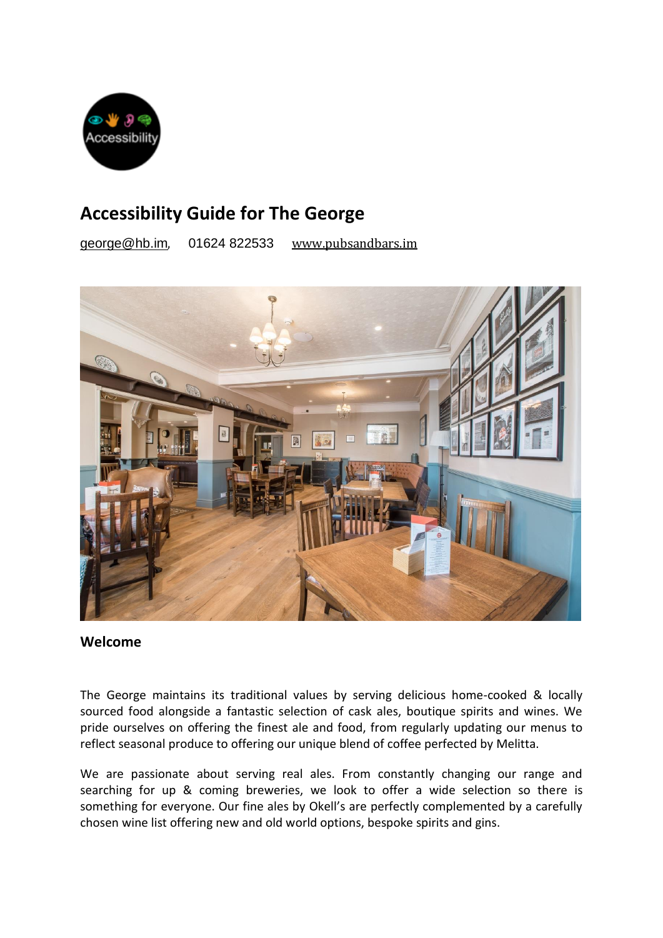

# **Accessibility Guide for The George**

[george@hb.im](mailto:george@hb.im), 01624 822533 [www.pubsandbars.im](http://www.pubsandbars.im/)



#### **Welcome**

The George maintains its traditional values by serving delicious home-cooked & locally sourced food alongside a fantastic selection of cask ales, boutique spirits and wines. We pride ourselves on offering the finest ale and food, from regularly updating our menus to reflect seasonal produce to offering our unique blend of coffee perfected by Melitta.

We are passionate about serving real ales. From constantly changing our range and searching for up & coming breweries, we look to offer a wide selection so there is something for everyone. Our fine ales by Okell's are perfectly complemented by a carefully chosen wine list offering new and old world options, bespoke spirits and gins.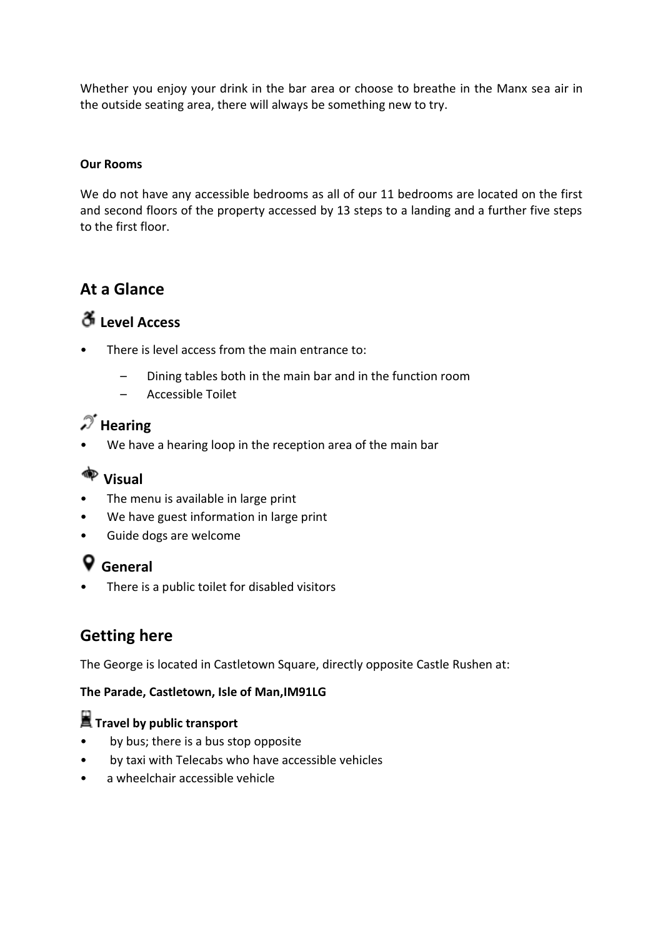Whether you enjoy your drink in the bar area or choose to breathe in the Manx sea air in the outside seating area, there will always be something new to try.

#### **Our Rooms**

We do not have any accessible bedrooms as all of our 11 bedrooms are located on the first and second floors of the property accessed by 13 steps to a landing and a further five steps to the first floor.

### **At a Glance**

### **Level Access**

- There is level access from the main entrance to:
	- Dining tables both in the main bar and in the function room
	- Accessible Toilet

## $\mathscr{I}$  Hearing

We have a hearing loop in the reception area of the main bar

### **Visual**

- The menu is available in large print
- We have guest information in large print
- Guide dogs are welcome

# **General**

There is a public toilet for disabled visitors

### **Getting here**

The George is located in Castletown Square, directly opposite Castle Rushen at:

#### **The Parade, Castletown, Isle of Man,IM91LG**

### **Travel by public transport**

- by bus; there is a bus stop opposite
- by taxi with Telecabs who have accessible vehicles
- a wheelchair accessible vehicle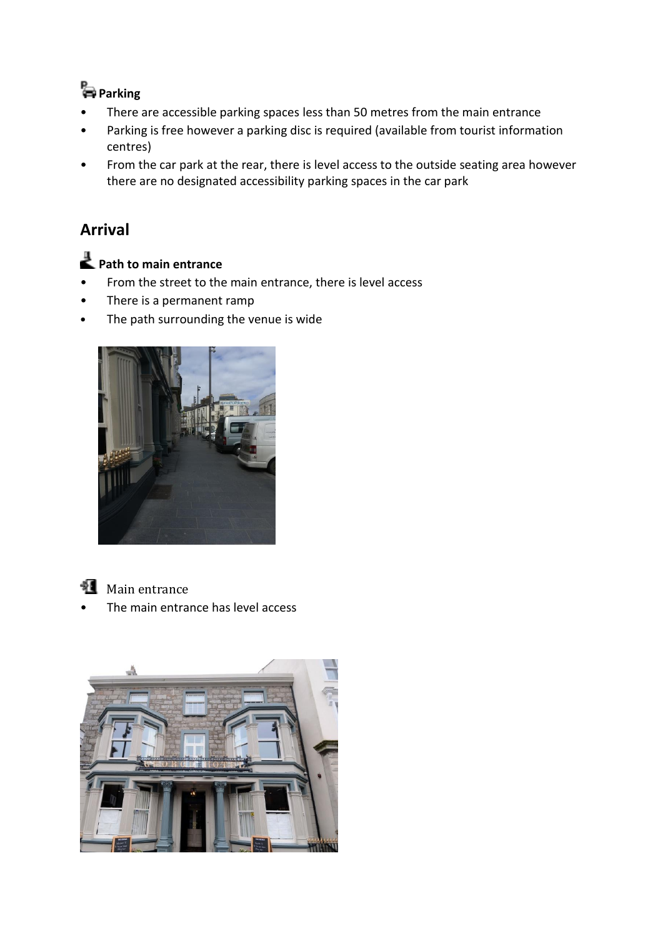# **Parking**

- There are accessible parking spaces less than 50 metres from the main entrance
- Parking is free however a parking disc is required (available from tourist information centres)
- From the car park at the rear, there is level access to the outside seating area however there are no designated accessibility parking spaces in the car park

### **Arrival**

# **Path to main entrance**

- From the street to the main entrance, there is level access
- There is a permanent ramp
- The path surrounding the venue is wide



**Main entrance** 

The main entrance has level access